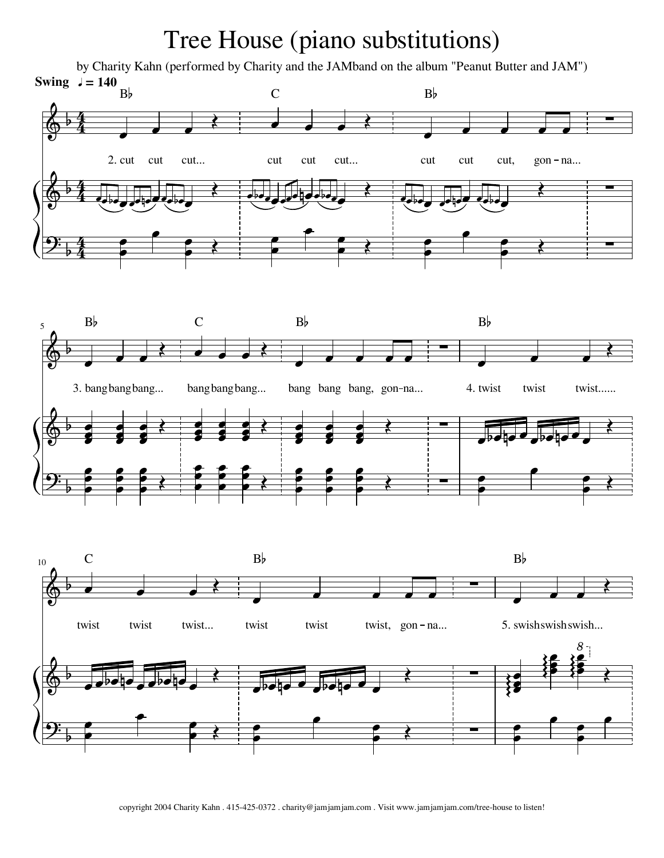## Tree House (piano substitutions)

by Charity Kahn (performed by Charity and the JAMband on the album "Peanut Butter and JAM") **Swing**  $J = 140$